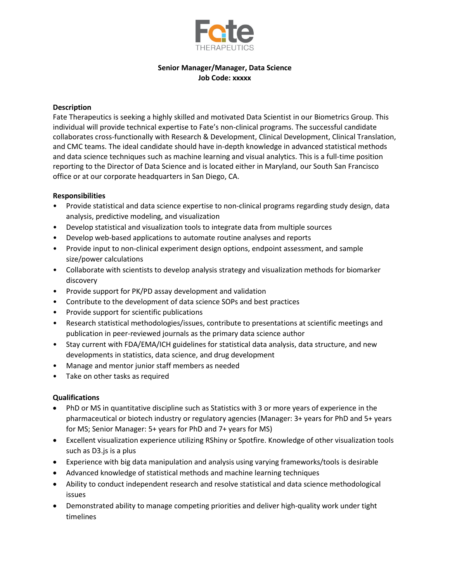

# **Senior Manager/Manager, Data Science Job Code: xxxxx**

## **Description**

Fate Therapeutics is seeking a highly skilled and motivated Data Scientist in our Biometrics Group. This individual will provide technical expertise to Fate's non-clinical programs. The successful candidate collaborates cross-functionally with Research & Development, Clinical Development, Clinical Translation, and CMC teams. The ideal candidate should have in-depth knowledge in advanced statistical methods and data science techniques such as machine learning and visual analytics. This is a full-time position reporting to the Director of Data Science and is located either in Maryland, our South San Francisco office or at our corporate headquarters in San Diego, CA.

### **Responsibilities**

- Provide statistical and data science expertise to non-clinical programs regarding study design, data analysis, predictive modeling, and visualization
- Develop statistical and visualization tools to integrate data from multiple sources
- Develop web-based applications to automate routine analyses and reports
- Provide input to non-clinical experiment design options, endpoint assessment, and sample size/power calculations
- Collaborate with scientists to develop analysis strategy and visualization methods for biomarker discovery
- Provide support for PK/PD assay development and validation
- Contribute to the development of data science SOPs and best practices
- Provide support for scientific publications
- Research statistical methodologies/issues, contribute to presentations at scientific meetings and publication in peer-reviewed journals as the primary data science author
- Stay current with FDA/EMA/ICH guidelines for statistical data analysis, data structure, and new developments in statistics, data science, and drug development
- Manage and mentor junior staff members as needed
- Take on other tasks as required

## **Qualifications**

- PhD or MS in quantitative discipline such as Statistics with 3 or more years of experience in the pharmaceutical or biotech industry or regulatory agencies (Manager: 3+ years for PhD and 5+ years for MS; Senior Manager: 5+ years for PhD and 7+ years for MS)
- Excellent visualization experience utilizing RShiny or Spotfire. Knowledge of other visualization tools such as D3.js is a plus
- Experience with big data manipulation and analysis using varying frameworks/tools is desirable
- Advanced knowledge of statistical methods and machine learning techniques
- Ability to conduct independent research and resolve statistical and data science methodological issues
- Demonstrated ability to manage competing priorities and deliver high-quality work under tight timelines